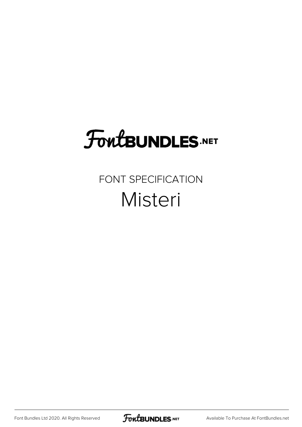## **FoutBUNDLES.NET**

#### FONT SPECIFICATION Misteri

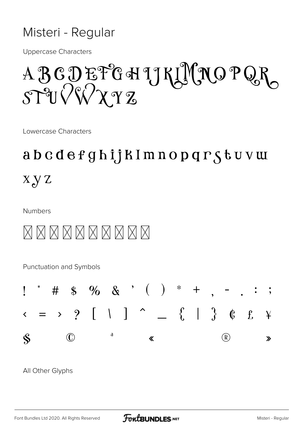#### Misteri - Regular

**Uppercase Characters** 

## ABCDEFGHJKLMNOPQR  $ST^2U\sqrt{W}\chi\gamma\gamma$

Lowercase Characters

### abcdefghijkImnopqrstuvw  $X \gamma Z$

**Numbers** 



Punctuation and Symbols



All Other Glyphs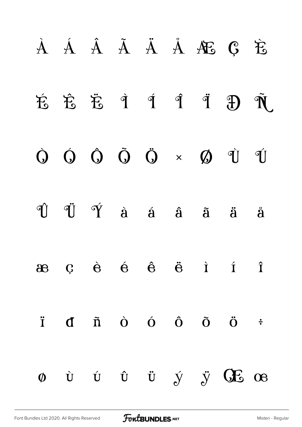# À Á Â Ã Ä Å Æ Ç È É Ê Ë Ì Í Î Ï Ð Ñ Ò Ó Ô Õ Ö × Ø Ù Ú Û Ü Ý à á â ã ä å æ ç è é ê ë ì í î ï ð ñ ò ó ô õ ö ÷ ø ù ú û ü ý ÿ Œ œ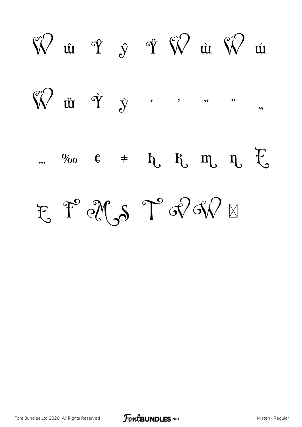$\hat{\mathbb{W}}$ u mã  $\bigvee^{\hspace{-0.5cm} \bigwedge^{\hspace{-0.5cm} \bullet}\hspace{-0.5cm} \bigwedge^{\hspace{-0.5cm} \bullet}\hspace{-0.5cm} \bigwedge^{\hspace{-0.5cm} \bullet}\hspace{-0.5cm} \bigwedge^{\hspace{-0.5cm} \bullet}\hspace{-0.5cm} \bigwedge^{\hspace{-0.5cm} \bullet}\hspace{-0.5cm} \bigwedge^{\hspace{-0.5cm} \bullet}\hspace{-0.5cm} \bigwedge^{\hspace{-0.5cm} \bullet}\hspace{-0.5cm} \bigwedge^{\hspace{-0.5cm} \bullet}\hspace{-0.5cm} \bigwedge^{\$  $\overline{\mathbf{v}}$ %  $\epsilon$   $\neq$   $h$ ,  $R$ ,  $m$ ,  $n$ ,  $t$ E T XS T RR

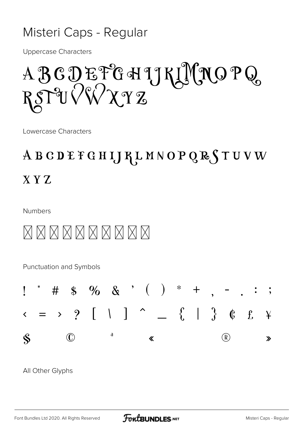#### Misteri Caps - Regular

**Uppercase Characters** 

A B C D E F G H L J K L N O P Q RSPUVWXYZ

Lowercase Characters

### ABCDEFGHIJKLMNOPQRSTUVW  $X Y Z$

**Numbers** 



Punctuation and Symbols



All Other Glyphs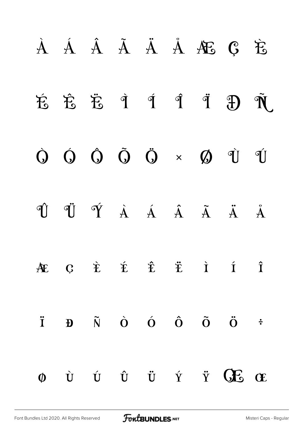# À Á Â Ã Ä Å Æ Ç È É Ê Ë Ì Í Î Ï Ð Ñ Ò Ó Ô Õ Ö × Ø Ù Ú Û Ü Ý à á â ã ä å æ ç è é ê ë ì í î ï ð ñ ò ó ô õ ö ÷  $\phi$  ù  $\psi$   $\ddot{\theta}$   $\ddot{\theta}$   $\ddot{\theta}$   $\ddot{\theta}$   $\ddot{\theta}$   $\ddot{\theta}$   $\ddot{\theta}$   $\ddot{\theta}$   $\ddot{\theta}$   $\ddot{\theta}$   $\ddot{\theta}$   $\ddot{\theta}$   $\ddot{\theta}$   $\ddot{\theta}$   $\ddot{\theta}$   $\ddot{\theta}$   $\ddot{\theta}$   $\ddot{\theta}$   $\ddot{\theta}$   $\ddot{\theta}$   $\ddot{\theta}$   $\ddot{\theta}$   $\ddot{\theta}$   $\$